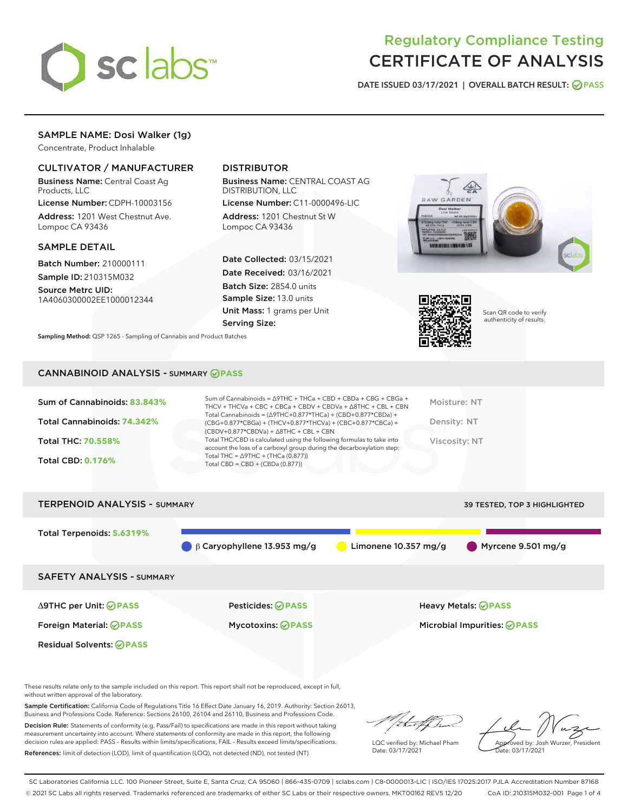

# Regulatory Compliance Testing CERTIFICATE OF ANALYSIS

DATE ISSUED 03/17/2021 | OVERALL BATCH RESULT: @ PASS

# SAMPLE NAME: Dosi Walker (1g)

Concentrate, Product Inhalable

# CULTIVATOR / MANUFACTURER

Business Name: Central Coast Ag Products, LLC

License Number: CDPH-10003156 Address: 1201 West Chestnut Ave. Lompoc CA 93436

# SAMPLE DETAIL

Batch Number: 210000111 Sample ID: 210315M032

Source Metrc UID: 1A4060300002EE1000012344

# DISTRIBUTOR

Business Name: CENTRAL COAST AG DISTRIBUTION, LLC

License Number: C11-0000496-LIC Address: 1201 Chestnut St W Lompoc CA 93436

Date Collected: 03/15/2021 Date Received: 03/16/2021 Batch Size: 2854.0 units Sample Size: 13.0 units Unit Mass: 1 grams per Unit Serving Size:





Scan QR code to verify authenticity of results.

Sampling Method: QSP 1265 - Sampling of Cannabis and Product Batches

# CANNABINOID ANALYSIS - SUMMARY **PASS**

| Sum of Cannabinoids: 83.843%<br>Total Cannabinoids: 74.342%<br><b>Total THC: 70.558%</b><br><b>Total CBD: 0.176%</b> | Sum of Cannabinoids = $\triangle$ 9THC + THCa + CBD + CBDa + CBG + CBGa +<br>THCV + THCVa + CBC + CBCa + CBDV + CBDVa + $\land$ 8THC + CBL + CBN<br>Total Cannabinoids = $(\Delta$ 9THC+0.877*THCa) + (CBD+0.877*CBDa) +<br>$(CBG+0.877*CBGa) + (THCV+0.877*THCVa) + (CBC+0.877*CBCa) +$<br>$(CBDV+0.877*CBDVa) + \Delta 8THC + CBL + CBN$<br>Total THC/CBD is calculated using the following formulas to take into<br>account the loss of a carboxyl group during the decarboxylation step:<br>Total THC = $\triangle$ 9THC + (THCa (0.877))<br>Total CBD = $CBD + (CBDa (0.877))$ | Moisture: NT<br>Density: NT<br>Viscosity: NT |
|----------------------------------------------------------------------------------------------------------------------|-------------------------------------------------------------------------------------------------------------------------------------------------------------------------------------------------------------------------------------------------------------------------------------------------------------------------------------------------------------------------------------------------------------------------------------------------------------------------------------------------------------------------------------------------------------------------------------|----------------------------------------------|
| <b>TERPENOID ANALYSIS - SUMMARY</b>                                                                                  |                                                                                                                                                                                                                                                                                                                                                                                                                                                                                                                                                                                     | 39 TESTED. TOP 3 HIGHLIGHTED                 |

Total Terpenoids: **5.6319%** β Caryophyllene 13.953 mg/g  $\qquad \qquad$  Limonene 10.357 mg/g  $\qquad \qquad$  Myrcene 9.501 mg/g SAFETY ANALYSIS - SUMMARY Δ9THC per Unit: **PASS** Pesticides: **PASS** Heavy Metals: **PASS** Foreign Material: **PASS** Mycotoxins: **PASS** Microbial Impurities: **PASS** Residual Solvents: **PASS** 

These results relate only to the sample included on this report. This report shall not be reproduced, except in full, without written approval of the laboratory.

Sample Certification: California Code of Regulations Title 16 Effect Date January 16, 2019. Authority: Section 26013, Business and Professions Code. Reference: Sections 26100, 26104 and 26110, Business and Professions Code.

Decision Rule: Statements of conformity (e.g. Pass/Fail) to specifications are made in this report without taking measurement uncertainty into account. Where statements of conformity are made in this report, the following decision rules are applied: PASS – Results within limits/specifications, FAIL – Results exceed limits/specifications. References: limit of detection (LOD), limit of quantification (LOQ), not detected (ND), not tested (NT)

that for

LQC verified by: Michael Pham Date: 03/17/2021

Approved by: Josh Wurzer, President ate: 03/17/2021

SC Laboratories California LLC. 100 Pioneer Street, Suite E, Santa Cruz, CA 95060 | 866-435-0709 | sclabs.com | C8-0000013-LIC | ISO/IES 17025:2017 PJLA Accreditation Number 87168 © 2021 SC Labs all rights reserved. Trademarks referenced are trademarks of either SC Labs or their respective owners. MKT00162 REV5 12/20 CoA ID: 210315M032-001 Page 1 of 4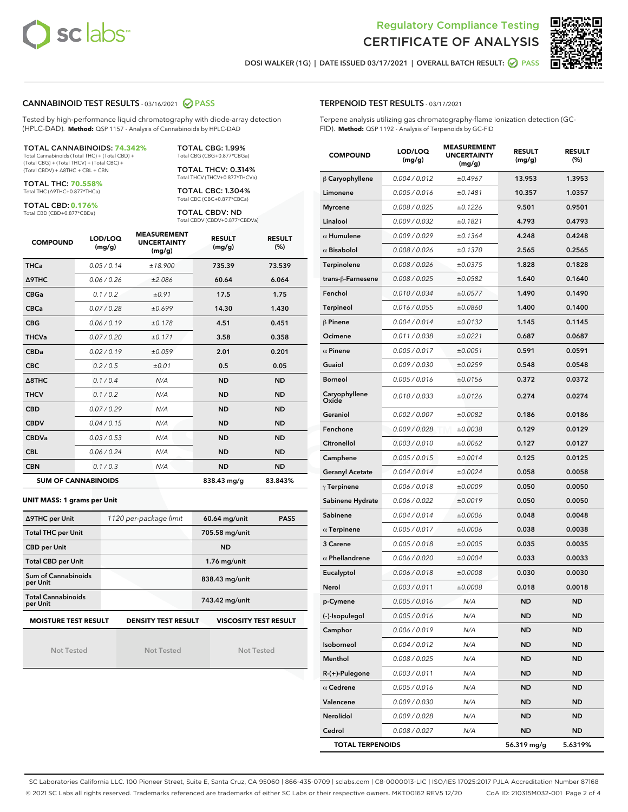



DOSI WALKER (1G) | DATE ISSUED 03/17/2021 | OVERALL BATCH RESULT:  $\bigcirc$  PASS

# CANNABINOID TEST RESULTS - 03/16/2021 2 PASS

Tested by high-performance liquid chromatography with diode-array detection (HPLC-DAD). **Method:** QSP 1157 - Analysis of Cannabinoids by HPLC-DAD

#### TOTAL CANNABINOIDS: **74.342%**

Total Cannabinoids (Total THC) + (Total CBD) + (Total CBG) + (Total THCV) + (Total CBC) + (Total CBDV) + ∆8THC + CBL + CBN

TOTAL THC: **70.558%** Total THC (∆9THC+0.877\*THCa)

TOTAL CBD: **0.176%**

Total CBD (CBD+0.877\*CBDa)

TOTAL CBG: 1.99% Total CBG (CBG+0.877\*CBGa)

TOTAL THCV: 0.314% Total THCV (THCV+0.877\*THCVa)

TOTAL CBC: 1.304% Total CBC (CBC+0.877\*CBCa)

TOTAL CBDV: ND Total CBDV (CBDV+0.877\*CBDVa)

| <b>COMPOUND</b>  | LOD/LOQ<br>(mg/g)          | <b>MEASUREMENT</b><br><b>UNCERTAINTY</b><br>(mg/g) | <b>RESULT</b><br>(mg/g) | <b>RESULT</b><br>(%) |
|------------------|----------------------------|----------------------------------------------------|-------------------------|----------------------|
| <b>THCa</b>      | 0.05/0.14                  | ±18.900                                            | 735.39                  | 73.539               |
| <b>A9THC</b>     | 0.06 / 0.26                | ±2.086                                             | 60.64                   | 6.064                |
| <b>CBGa</b>      | 0.1 / 0.2                  | ±0.91                                              | 17.5                    | 1.75                 |
| <b>CBCa</b>      | 0.07/0.28                  | ±0.699                                             | 14.30                   | 1.430                |
| <b>CBG</b>       | 0.06/0.19                  | ±0.178                                             | 4.51                    | 0.451                |
| <b>THCVa</b>     | 0.07/0.20                  | ±0.171                                             | 3.58                    | 0.358                |
| <b>CBDa</b>      | 0.02/0.19                  | ±0.059                                             | 2.01                    | 0.201                |
| <b>CBC</b>       | 0.2 / 0.5                  | ±0.01                                              | 0.5                     | 0.05                 |
| $\triangle$ 8THC | 0.1 / 0.4                  | N/A                                                | <b>ND</b>               | <b>ND</b>            |
| <b>THCV</b>      | 0.1/0.2                    | N/A                                                | <b>ND</b>               | <b>ND</b>            |
| <b>CBD</b>       | 0.07/0.29                  | N/A                                                | <b>ND</b>               | <b>ND</b>            |
| <b>CBDV</b>      | 0.04 / 0.15                | N/A                                                | <b>ND</b>               | <b>ND</b>            |
| <b>CBDVa</b>     | 0.03/0.53                  | N/A                                                | <b>ND</b>               | <b>ND</b>            |
| <b>CBL</b>       | 0.06 / 0.24                | N/A                                                | <b>ND</b>               | <b>ND</b>            |
| <b>CBN</b>       | 0.1/0.3                    | N/A                                                | <b>ND</b>               | <b>ND</b>            |
|                  | <b>SUM OF CANNABINOIDS</b> |                                                    | 838.43 mg/g             | 83.843%              |

#### **UNIT MASS: 1 grams per Unit**

| ∆9THC per Unit                         | 1120 per-package limit     | <b>PASS</b><br>60.64 mg/unit |  |
|----------------------------------------|----------------------------|------------------------------|--|
| <b>Total THC per Unit</b>              |                            | 705.58 mg/unit               |  |
| <b>CBD per Unit</b>                    |                            | <b>ND</b>                    |  |
| <b>Total CBD per Unit</b>              |                            | $1.76$ mg/unit               |  |
| <b>Sum of Cannabinoids</b><br>per Unit |                            | 838.43 mg/unit               |  |
| <b>Total Cannabinoids</b><br>per Unit  |                            | 743.42 mg/unit               |  |
| <b>MOISTURE TEST RESULT</b>            | <b>DENSITY TEST RESULT</b> | <b>VISCOSITY TEST RESULT</b> |  |

**MOISTURE TEST RESULT**

Not Tested

Not Tested

Not Tested

| <b>TERPENOID TEST RESULTS - 03/17/2021</b> |  |  |  |
|--------------------------------------------|--|--|--|
|--------------------------------------------|--|--|--|

Terpene analysis utilizing gas chromatography-flame ionization detection (GC-FID). **Method:** QSP 1192 - Analysis of Terpenoids by GC-FID

| <b>COMPOUND</b>         | LOD/LOQ<br>(mg/g) | <b>MEASUREMENT</b><br><b>UNCERTAINTY</b><br>(mg/g) | <b>RESULT</b><br>(mg/g) | <b>RESULT</b><br>(%) |
|-------------------------|-------------------|----------------------------------------------------|-------------------------|----------------------|
| $\beta$ Caryophyllene   | 0.004 / 0.012     | ±0.4967                                            | 13.953                  | 1.3953               |
| Limonene                | 0.005 / 0.016     | ±0.1481                                            | 10.357                  | 1.0357               |
| <b>Myrcene</b>          | 0.008 / 0.025     | ±0.1226                                            | 9.501                   | 0.9501               |
| Linalool                | 0.009 / 0.032     | ±0.1821                                            | 4.793                   | 0.4793               |
| $\alpha$ Humulene       | 0.009/0.029       | ±0.1364                                            | 4.248                   | 0.4248               |
| $\alpha$ Bisabolol      | 0.008 / 0.026     | ±0.1370                                            | 2.565                   | 0.2565               |
| Terpinolene             | 0.008 / 0.026     | ±0.0375                                            | 1.828                   | 0.1828               |
| trans-β-Farnesene       | 0.008 / 0.025     | ±0.0582                                            | 1.640                   | 0.1640               |
| Fenchol                 | 0.010 / 0.034     | ±0.0577                                            | 1.490                   | 0.1490               |
| Terpineol               | 0.016 / 0.055     | ±0.0860                                            | 1.400                   | 0.1400               |
| $\beta$ Pinene          | 0.004 / 0.014     | ±0.0132                                            | 1.145                   | 0.1145               |
| Ocimene                 | 0.011 / 0.038     | ±0.0221                                            | 0.687                   | 0.0687               |
| $\alpha$ Pinene         | 0.005 / 0.017     | ±0.0051                                            | 0.591                   | 0.0591               |
| Guaiol                  | 0.009 / 0.030     | ±0.0259                                            | 0.548                   | 0.0548               |
| <b>Borneol</b>          | 0.005 / 0.016     | ±0.0156                                            | 0.372                   | 0.0372               |
| Caryophyllene<br>Oxide  | 0.010 / 0.033     | ±0.0126                                            | 0.274                   | 0.0274               |
| Geraniol                | 0.002 / 0.007     | ±0.0082                                            | 0.186                   | 0.0186               |
| Fenchone                | 0.009 / 0.028     | ±0.0038                                            | 0.129                   | 0.0129               |
| Citronellol             | 0.003 / 0.010     | ±0.0062                                            | 0.127                   | 0.0127               |
| Camphene                | 0.005 / 0.015     | ±0.0014                                            | 0.125                   | 0.0125               |
| <b>Geranyl Acetate</b>  | 0.004 / 0.014     | ±0.0024                                            | 0.058                   | 0.0058               |
| $\gamma$ Terpinene      | 0.006 / 0.018     | ±0.0009                                            | 0.050                   | 0.0050               |
| Sabinene Hydrate        | 0.006 / 0.022     | ±0.0019                                            | 0.050                   | 0.0050               |
| Sabinene                | 0.004 / 0.014     | ±0.0006                                            | 0.048                   | 0.0048               |
| $\alpha$ Terpinene      | 0.005 / 0.017     | ±0.0006                                            | 0.038                   | 0.0038               |
| 3 Carene                | 0.005 / 0.018     | ±0.0005                                            | 0.035                   | 0.0035               |
| $\alpha$ Phellandrene   | 0.006 / 0.020     | ±0.0004                                            | 0.033                   | 0.0033               |
| Eucalyptol              | 0.006 / 0.018     | ±0.0008                                            | 0.030                   | 0.0030               |
| Nerol                   | 0.003 / 0.011     | ±0.0008                                            | 0.018                   | 0.0018               |
| p-Cymene                | 0.005 / 0.016     | N/A                                                | ND                      | <b>ND</b>            |
| (-)-Isopulegol          | 0.005 / 0.016     | N/A                                                | ND                      | <b>ND</b>            |
| Camphor                 | 0.006 / 0.019     | N/A                                                | <b>ND</b>               | ND                   |
| Isoborneol              | 0.004 / 0.012     | N/A                                                | ND                      | <b>ND</b>            |
| Menthol                 | 0.008 / 0.025     | N/A                                                | ND                      | <b>ND</b>            |
| R-(+)-Pulegone          | 0.003 / 0.011     | N/A                                                | ND                      | ND                   |
| $\alpha$ Cedrene        | 0.005 / 0.016     | N/A                                                | ND                      | ND                   |
| Valencene               | 0.009 / 0.030     | N/A                                                | ND                      | <b>ND</b>            |
| Nerolidol               | 0.009 / 0.028     | N/A                                                | ND                      | ND                   |
| Cedrol                  | 0.008 / 0.027     | N/A                                                | ND                      | <b>ND</b>            |
| <b>TOTAL TERPENOIDS</b> |                   |                                                    | 56.319 mg/g             | 5.6319%              |

SC Laboratories California LLC. 100 Pioneer Street, Suite E, Santa Cruz, CA 95060 | 866-435-0709 | sclabs.com | C8-0000013-LIC | ISO/IES 17025:2017 PJLA Accreditation Number 87168 © 2021 SC Labs all rights reserved. Trademarks referenced are trademarks of either SC Labs or their respective owners. MKT00162 REV5 12/20 CoA ID: 210315M032-001 Page 2 of 4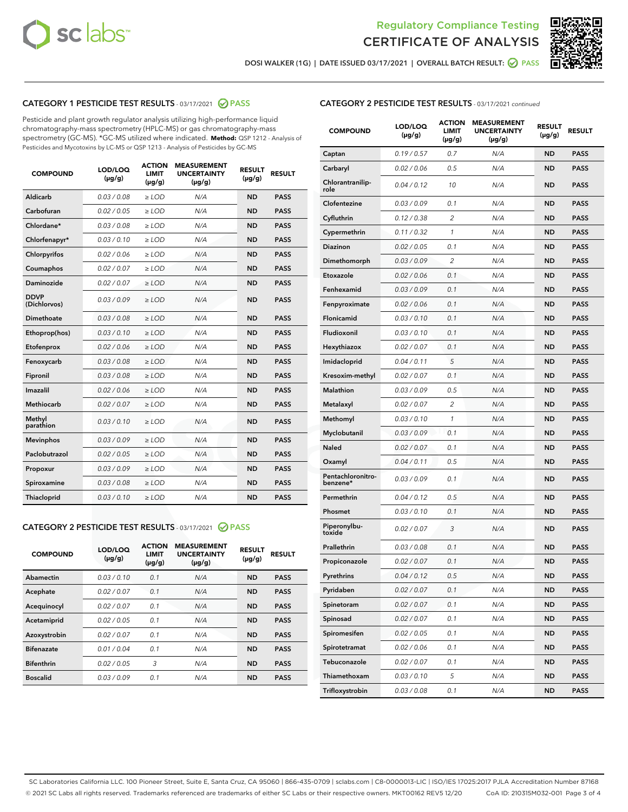



DOSI WALKER (1G) | DATE ISSUED 03/17/2021 | OVERALL BATCH RESULT: O PASS

# CATEGORY 1 PESTICIDE TEST RESULTS - 03/17/2021 2 PASS

Pesticide and plant growth regulator analysis utilizing high-performance liquid chromatography-mass spectrometry (HPLC-MS) or gas chromatography-mass spectrometry (GC-MS). \*GC-MS utilized where indicated. **Method:** QSP 1212 - Analysis of Pesticides and Mycotoxins by LC-MS or QSP 1213 - Analysis of Pesticides by GC-MS

| <b>COMPOUND</b>             | LOD/LOQ<br>$(\mu g/g)$ | <b>ACTION</b><br><b>LIMIT</b><br>$(\mu g/g)$ | <b>MEASUREMENT</b><br><b>UNCERTAINTY</b><br>$(\mu g/g)$ | <b>RESULT</b><br>$(\mu g/g)$ | <b>RESULT</b> |
|-----------------------------|------------------------|----------------------------------------------|---------------------------------------------------------|------------------------------|---------------|
| Aldicarb                    | 0.03 / 0.08            | $\ge$ LOD                                    | N/A                                                     | <b>ND</b>                    | <b>PASS</b>   |
| Carbofuran                  | 0.02/0.05              | $>$ LOD                                      | N/A                                                     | <b>ND</b>                    | <b>PASS</b>   |
| Chlordane*                  | 0.03 / 0.08            | $\ge$ LOD                                    | N/A                                                     | <b>ND</b>                    | <b>PASS</b>   |
| Chlorfenapyr*               | 0.03/0.10              | $\ge$ LOD                                    | N/A                                                     | <b>ND</b>                    | <b>PASS</b>   |
| Chlorpyrifos                | 0.02 / 0.06            | $\ge$ LOD                                    | N/A                                                     | <b>ND</b>                    | <b>PASS</b>   |
| Coumaphos                   | 0.02/0.07              | $>$ LOD                                      | N/A                                                     | <b>ND</b>                    | <b>PASS</b>   |
| <b>Daminozide</b>           | 0.02 / 0.07            | $\ge$ LOD                                    | N/A                                                     | <b>ND</b>                    | <b>PASS</b>   |
| <b>DDVP</b><br>(Dichlorvos) | 0.03/0.09              | $\ge$ LOD                                    | N/A                                                     | <b>ND</b>                    | <b>PASS</b>   |
| <b>Dimethoate</b>           | 0.03/0.08              | $\ge$ LOD                                    | N/A                                                     | <b>ND</b>                    | <b>PASS</b>   |
| Ethoprop(hos)               | 0.03/0.10              | $\ge$ LOD                                    | N/A                                                     | <b>ND</b>                    | <b>PASS</b>   |
| Etofenprox                  | 0.02 / 0.06            | $>$ LOD                                      | N/A                                                     | <b>ND</b>                    | <b>PASS</b>   |
| Fenoxycarb                  | 0.03/0.08              | $\ge$ LOD                                    | N/A                                                     | <b>ND</b>                    | <b>PASS</b>   |
| Fipronil                    | 0.03/0.08              | $>$ LOD                                      | N/A                                                     | <b>ND</b>                    | <b>PASS</b>   |
| Imazalil                    | 0.02 / 0.06            | $\ge$ LOD                                    | N/A                                                     | <b>ND</b>                    | <b>PASS</b>   |
| Methiocarb                  | 0.02 / 0.07            | $\ge$ LOD                                    | N/A                                                     | <b>ND</b>                    | <b>PASS</b>   |
| Methyl<br>parathion         | 0.03/0.10              | $>$ LOD                                      | N/A                                                     | <b>ND</b>                    | <b>PASS</b>   |
| <b>Mevinphos</b>            | 0.03/0.09              | $>$ LOD                                      | N/A                                                     | <b>ND</b>                    | <b>PASS</b>   |
| Paclobutrazol               | 0.02 / 0.05            | $\ge$ LOD                                    | N/A                                                     | <b>ND</b>                    | <b>PASS</b>   |
| Propoxur                    | 0.03/0.09              | $>$ LOD                                      | N/A                                                     | <b>ND</b>                    | <b>PASS</b>   |
| Spiroxamine                 | 0.03 / 0.08            | $\ge$ LOD                                    | N/A                                                     | <b>ND</b>                    | <b>PASS</b>   |
| Thiacloprid                 | 0.03/0.10              | $\ge$ LOD                                    | N/A                                                     | <b>ND</b>                    | <b>PASS</b>   |

#### CATEGORY 2 PESTICIDE TEST RESULTS - 03/17/2021 @ PASS

| <b>COMPOUND</b>   | LOD/LOQ<br>$(\mu g/g)$ | <b>ACTION</b><br><b>LIMIT</b><br>$(\mu g/g)$ | <b>MEASUREMENT</b><br><b>UNCERTAINTY</b><br>$(\mu g/g)$ | <b>RESULT</b><br>$(\mu g/g)$ | <b>RESULT</b> |
|-------------------|------------------------|----------------------------------------------|---------------------------------------------------------|------------------------------|---------------|
| Abamectin         | 0.03/0.10              | 0.1                                          | N/A                                                     | <b>ND</b>                    | <b>PASS</b>   |
| Acephate          | 0.02/0.07              | 0.1                                          | N/A                                                     | <b>ND</b>                    | <b>PASS</b>   |
| Acequinocyl       | 0.02/0.07              | 0.1                                          | N/A                                                     | <b>ND</b>                    | <b>PASS</b>   |
| Acetamiprid       | 0.02/0.05              | 0.1                                          | N/A                                                     | <b>ND</b>                    | <b>PASS</b>   |
| Azoxystrobin      | 0.02/0.07              | 0.1                                          | N/A                                                     | <b>ND</b>                    | <b>PASS</b>   |
| <b>Bifenazate</b> | 0.01/0.04              | 0.1                                          | N/A                                                     | <b>ND</b>                    | <b>PASS</b>   |
| <b>Bifenthrin</b> | 0.02/0.05              | 3                                            | N/A                                                     | <b>ND</b>                    | <b>PASS</b>   |
| <b>Boscalid</b>   | 0.03/0.09              | 0.1                                          | N/A                                                     | <b>ND</b>                    | <b>PASS</b>   |

| <b>CATEGORY 2 PESTICIDE TEST RESULTS</b> - 03/17/2021 continued |
|-----------------------------------------------------------------|
|-----------------------------------------------------------------|

| <b>COMPOUND</b>               | LOD/LOQ<br>$(\mu g/g)$ | <b>ACTION</b><br>LIMIT<br>$(\mu g/g)$ | <b>MEASUREMENT</b><br><b>UNCERTAINTY</b><br>(µg/g) | <b>RESULT</b><br>(µg/g) | <b>RESULT</b> |
|-------------------------------|------------------------|---------------------------------------|----------------------------------------------------|-------------------------|---------------|
| Captan                        | 0.19/0.57              | 0.7                                   | N/A                                                | <b>ND</b>               | <b>PASS</b>   |
| Carbaryl                      | 0.02 / 0.06            | 0.5                                   | N/A                                                | ND                      | <b>PASS</b>   |
| Chlorantranilip-<br>role      | 0.04/0.12              | 10                                    | N/A                                                | ND                      | <b>PASS</b>   |
| Clofentezine                  | 0.03 / 0.09            | 0.1                                   | N/A                                                | ND                      | <b>PASS</b>   |
| Cyfluthrin                    | 0.12 / 0.38            | 2                                     | N/A                                                | ND                      | <b>PASS</b>   |
| Cypermethrin                  | 0.11/0.32              | 1                                     | N/A                                                | ND                      | <b>PASS</b>   |
| <b>Diazinon</b>               | 0.02 / 0.05            | 0.1                                   | N/A                                                | ND                      | <b>PASS</b>   |
| Dimethomorph                  | 0.03 / 0.09            | 2                                     | N/A                                                | ND                      | <b>PASS</b>   |
| Etoxazole                     | 0.02 / 0.06            | 0.1                                   | N/A                                                | ND                      | <b>PASS</b>   |
| Fenhexamid                    | 0.03/0.09              | 0.1                                   | N/A                                                | ND                      | <b>PASS</b>   |
| Fenpyroximate                 | 0.02 / 0.06            | 0.1                                   | N/A                                                | ND                      | <b>PASS</b>   |
| <b>Flonicamid</b>             | 0.03 / 0.10            | 0.1                                   | N/A                                                | ND                      | <b>PASS</b>   |
| Fludioxonil                   | 0.03/0.10              | 0.1                                   | N/A                                                | ND                      | <b>PASS</b>   |
| Hexythiazox                   | 0.02 / 0.07            | 0.1                                   | N/A                                                | ND                      | <b>PASS</b>   |
| Imidacloprid                  | 0.04/0.11              | 5                                     | N/A                                                | ND                      | <b>PASS</b>   |
| Kresoxim-methyl               | 0.02 / 0.07            | 0.1                                   | N/A                                                | ND                      | <b>PASS</b>   |
| <b>Malathion</b>              | 0.03 / 0.09            | 0.5                                   | N/A                                                | ND                      | <b>PASS</b>   |
| Metalaxyl                     | 0.02 / 0.07            | 2                                     | N/A                                                | ND                      | <b>PASS</b>   |
| Methomyl                      | 0.03 / 0.10            | 1                                     | N/A                                                | ND                      | <b>PASS</b>   |
| Myclobutanil                  | 0.03 / 0.09            | 0.1                                   | N/A                                                | ND                      | <b>PASS</b>   |
| <b>Naled</b>                  | 0.02 / 0.07            | 0.1                                   | N/A                                                | ND                      | <b>PASS</b>   |
| Oxamyl                        | 0.04 / 0.11            | 0.5                                   | N/A                                                | ND                      | <b>PASS</b>   |
| Pentachloronitro-<br>benzene* | 0.03 / 0.09            | 0.1                                   | N/A                                                | ND                      | <b>PASS</b>   |
| Permethrin                    | 0.04 / 0.12            | 0.5                                   | N/A                                                | ND                      | <b>PASS</b>   |
| Phosmet                       | 0.03 / 0.10            | 0.1                                   | N/A                                                | ND                      | <b>PASS</b>   |
| Piperonylbu-<br>toxide        | 0.02 / 0.07            | 3                                     | N/A                                                | ND                      | <b>PASS</b>   |
| Prallethrin                   | 0.03 / 0.08            | 0.1                                   | N/A                                                | ND                      | <b>PASS</b>   |
| Propiconazole                 | 0.02 / 0.07            | 0.1                                   | N/A                                                | ND                      | <b>PASS</b>   |
| Pyrethrins                    | 0.04 / 0.12            | 0.5                                   | N/A                                                | ND                      | PASS          |
| Pyridaben                     | 0.02 / 0.07            | 0.1                                   | N/A                                                | ND                      | <b>PASS</b>   |
| Spinetoram                    | 0.02 / 0.07            | 0.1                                   | N/A                                                | <b>ND</b>               | <b>PASS</b>   |
| Spinosad                      | 0.02 / 0.07            | 0.1                                   | N/A                                                | ND                      | <b>PASS</b>   |
| Spiromesifen                  | 0.02 / 0.05            | 0.1                                   | N/A                                                | ND                      | <b>PASS</b>   |
| Spirotetramat                 | 0.02 / 0.06            | 0.1                                   | N/A                                                | ND                      | <b>PASS</b>   |
| Tebuconazole                  | 0.02 / 0.07            | 0.1                                   | N/A                                                | ND                      | <b>PASS</b>   |
| Thiamethoxam                  | 0.03 / 0.10            | 5                                     | N/A                                                | ND                      | <b>PASS</b>   |
| Trifloxystrobin               | 0.03 / 0.08            | 0.1                                   | N/A                                                | ND                      | <b>PASS</b>   |

SC Laboratories California LLC. 100 Pioneer Street, Suite E, Santa Cruz, CA 95060 | 866-435-0709 | sclabs.com | C8-0000013-LIC | ISO/IES 17025:2017 PJLA Accreditation Number 87168 © 2021 SC Labs all rights reserved. Trademarks referenced are trademarks of either SC Labs or their respective owners. MKT00162 REV5 12/20 CoA ID: 210315M032-001 Page 3 of 4